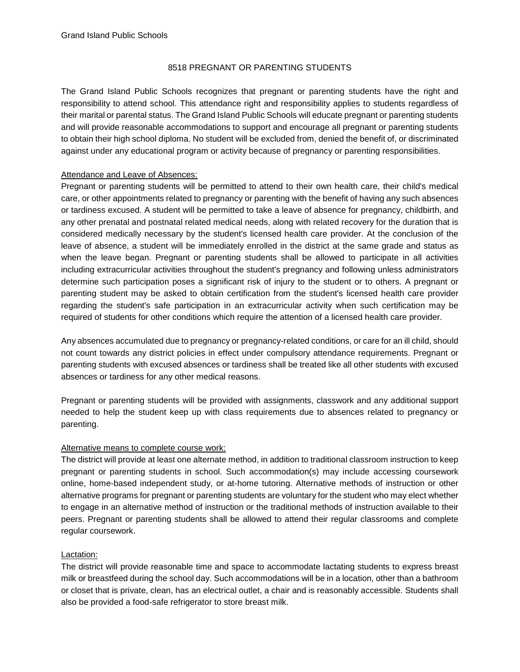## 8518 PREGNANT OR PARENTING STUDENTS

The Grand Island Public Schools recognizes that pregnant or parenting students have the right and responsibility to attend school. This attendance right and responsibility applies to students regardless of their marital or parental status. The Grand Island Public Schools will educate pregnant or parenting students and will provide reasonable accommodations to support and encourage all pregnant or parenting students to obtain their high school diploma. No student will be excluded from, denied the benefit of, or discriminated against under any educational program or activity because of pregnancy or parenting responsibilities.

## Attendance and Leave of Absences:

Pregnant or parenting students will be permitted to attend to their own health care, their child's medical care, or other appointments related to pregnancy or parenting with the benefit of having any such absences or tardiness excused. A student will be permitted to take a leave of absence for pregnancy, childbirth, and any other prenatal and postnatal related medical needs, along with related recovery for the duration that is considered medically necessary by the student's licensed health care provider. At the conclusion of the leave of absence, a student will be immediately enrolled in the district at the same grade and status as when the leave began. Pregnant or parenting students shall be allowed to participate in all activities including extracurricular activities throughout the student's pregnancy and following unless administrators determine such participation poses a significant risk of injury to the student or to others. A pregnant or parenting student may be asked to obtain certification from the student's licensed health care provider regarding the student's safe participation in an extracurricular activity when such certification may be required of students for other conditions which require the attention of a licensed health care provider.

Any absences accumulated due to pregnancy or pregnancy-related conditions, or care for an ill child, should not count towards any district policies in effect under compulsory attendance requirements. Pregnant or parenting students with excused absences or tardiness shall be treated like all other students with excused absences or tardiness for any other medical reasons.

Pregnant or parenting students will be provided with assignments, classwork and any additional support needed to help the student keep up with class requirements due to absences related to pregnancy or parenting.

# Alternative means to complete course work:

The district will provide at least one alternate method, in addition to traditional classroom instruction to keep pregnant or parenting students in school. Such accommodation(s) may include accessing coursework online, home-based independent study, or at-home tutoring. Alternative methods of instruction or other alternative programs for pregnant or parenting students are voluntary for the student who may elect whether to engage in an alternative method of instruction or the traditional methods of instruction available to their peers. Pregnant or parenting students shall be allowed to attend their regular classrooms and complete regular coursework.

# Lactation:

The district will provide reasonable time and space to accommodate lactating students to express breast milk or breastfeed during the school day. Such accommodations will be in a location, other than a bathroom or closet that is private, clean, has an electrical outlet, a chair and is reasonably accessible. Students shall also be provided a food-safe refrigerator to store breast milk.